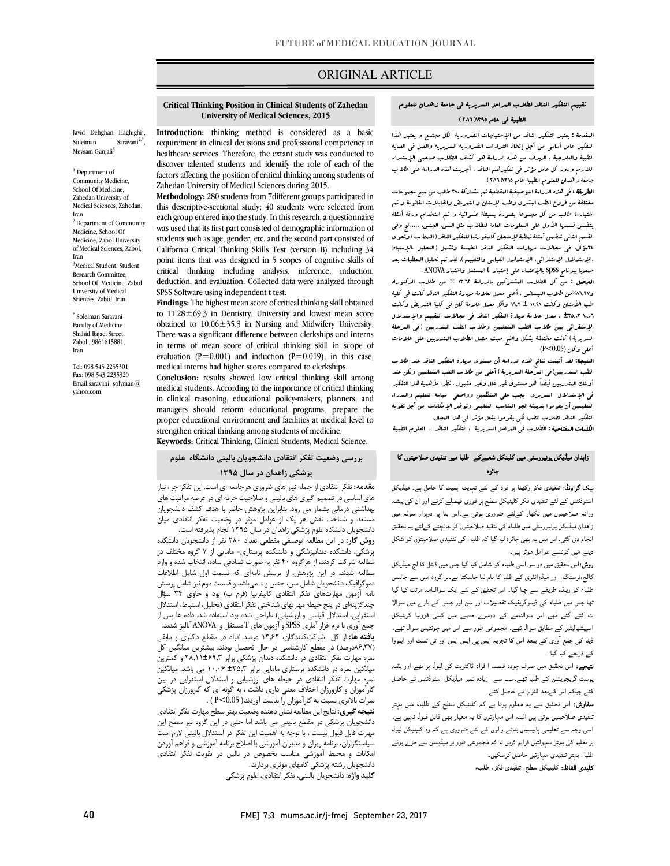# ORIGINAL ARTICLE

### تقییم التفکیر الناقد لطلاب المراحل السریریۀ فی جامعۀ زاهدان للعلوم الطبیۀ فی عام 1395(2016)

ص

 المقدمۀ **:** یعتبر التفکیر الناقد من الإحتیاجات الضروریۀ لکل مجتمع و یعتبر هذا الطبیۀ والعلاجیۀ . الهدف من هذه الدراسۀ هو کشف الطلاب صاحبی الإستعداد اللازم ودور کل عامل مؤثر فی تفکیرهم الناقد ، أجریت هذه الدراسۀ على طلاب جامعۀ زاهدان للعلوم الطبیۀ عام 1395(2016). التفکیر عامل أساسی من أجل إتخاذ القرارات الضروریۀ السریریۀ والعمل فی العنایۀ

مد مس<br>مختلفۀ من فروع الطب البشرى وطب الإسنان و التىریض والقابلات القانویۀ و تىم اختیار40 طالب من کل مجموعۀ بصورة بسیطۀ عشوائیۀ و تم استخدام ورقۀ أسئلۀ یتضمن قسمها الأول على المعلومات العامۀ للطلاب مثل السن، الجنس، .....الخ وفی مسلم مسئ التحلي مسلمان مسلم معانيات التفکیر التحلیل مسلمان مهارات مهارات مهارات مهارات التحلیل ،الإستباط<br>٢٤سؤال، في مجالات مربارات التفکیر الناقد الخمسۀ وتشمل (التحلیل ،الإستباط ،الإستدلال الإستقرائی، الإستدلال القیاسی والتقییم). لقد تم تحلیل المعطیات بعد جمعها ببرنامجspssبالإعتماد على إختبار t المستقل واختبار ANOVA . **الطریقۀ :** ف<sub>ی</sub> هذه الدراسۀ التوصیفیۀ البقطعیۀ تب مشارکۀ ٢٨٠ طالب من سبع مجسوعات القسم الثانی تتضمن أسئلۀنمطیۀلإمتحان کالیفورنیا للتفکیر الناقد (النمطب) وتحوي

وسیس . فعل من الله السلاب المستقر على الباسانس . ... ... ... من الناقد کانت فی کلیۀ<br>«۱.۳۷%من طلاب اللیسانس . أعلى معدل لعلامۀ مهارة التفکیر الناقد کانت فی کلیۀ طب الأسنان وکانت 11,28 ± 69,3 وأقل معدل علامۀ کان فی کلیۀ التمریض وکانت 10,06 ±35,03 . معدل علامۀ مهارة التفکیر الناقد فی مجالات التقییم والإستدلال الإستقرائی بین طلاب الطب البتعلمین وطلاب الطب البتدربین (فی البرحلۀ<br>سد در کرد و در دوره أعلى وکان (0.05>P ( الحاصل **:** من کل الطلاب المشترکین بالدراسۀ 13,62 % من طلاب الدکتوراه السریریۀ) کانت مختلفۀ بشکل واضح حیث حصل الطلاب المتدربین على علامات

 النتیجۀ**:** لقد أثبتت نتائج هذه الدراسۀ أن مستوى مهارة التفکیر الناقد عند طلاب الطب المتدربین(فی العرحلۀ السریریۀ) أعلى من طلاب الطب البتعلمین ولکن عند<br>\* فی الإستدلال السریري یجب على المنظمین وواضعی سیاسۀ التعلیم والمدراء التعلیمین أن یقوموا بتهیئۀ الجو المناسب التعلیمی وتوفیر الإمکانات من أجل تقویۀ التفکیر الناقد لطلاب الطب لکی یقوموا بفعل مؤثر فی هذا المجال. أولئک المتدربین أیضاً هو مستوى غیر عال وغیر مقبول. نظرا لأهمیۀ هذا التفکیر

الکلمات المفتاحیۀ : الطلاب فی المراحل السریریۀ ، التفکیر الناقد ، العلوم الطبیۀ

### زاہدان میڈیکل یونیورسٹی میں کلینکل شعبےکے طلبا میں تنقیدی صلاحیتوں کا<br>ا ہ

**بیک گراونڈ:** تنقیدی فکر رکھنا ہر فرد کے لئے نہایت اہمیت کا حامل ہے۔ میڈیکل .. میں سورت سے سال کر کا ہوا ہے کہ سال ہے جاتے ہیں۔<br>اسٹوڈنٹس کے لئے تنقیدی فکر کلینیکل سطح پر فوری فیصلے کرنے اور ان کی پیشہ ۔<br>ورانہ صلاحیتوں میں نکھار کےلئے ضروری ہوتی ہے۔اس بنا پر دوہزار سولہ میں زاھدان میڈیکل یونیورسٹی میں طلباء کی تنقید صلاحیتوں کو جانچنے کےلئے یہ تحقیق انجام دی گئي۔اس میں یہ بھی جائزہ لیا گیا کہ طلباء کی تنقیدی صلاحیتوں کو شکل دینے میں کونسے عوامل موثر ہیں۔

**روش:**اس تحقیق میں دو سو اسی طلباء کو شامل کیا گیا جس میں ڈنٹل کا لج،میڈیکل<br>۔ ے کی کسی میں ہے کہ سال ہے کہ سامنے کے مطابق کے بعد ہے کہ سے تعلیم کے ساتھ ہے۔<br>طلباء کو رینڈم طریقے سے چنا گیا۔ اس تحقیق کے لئے ایک سوالنامہ مرتب کیا گیا ۔<br>تھا جس میں طلباء کی ڈیموگریفیک تفصیلات اور سن اور جنس کے بار<sub>ے</sub> میں سوالا ت کئے گئے تھے۔اس سوالنامے کے دوسرے حصے میں کیلی فورنیا کریٹیکل اسپیشیالیٹیز کے مطابق سوال تھے۔ مجموعی طور سے اس میں چونتیس سوال تھے۔ ڈیٹا کی جمع آوری کے ببعد اس کا تجزیہ ایس پی ایس ایس اور ٹ*ی* ٹسٹ اور اینووا کالج،نرسنگ، اور میڈوائفری کے طلبا کا نام لیا جاسکتا ہے۔ہر گروہ میں سے چالیس کے ذریعے کیا گیا۔

سے دریعے ہیا ہیا۔<br>ل**تیجے:** اس تحقیق میں صرف چودہ فیصد ا فراد ڈاکٹریٹ کی لیول پر تھے اور بقیہ ۔ زدہ اڈ کئے جبکہ اس کےبعد انٹرنز نے حاصل کئے۔

**سفارش:** اس تحقیق سے یہ معلوم ہوتا ہے کہ کلینیکل سطح کے طلباء میں بہتر تنقیدی صلاحیتیں ہوتی ہیں البتہ اس مہارتوں کا یہ معیار بھی قابل قبول نہیں ہے۔ اسی وجہ سے تعلیمی پالیسیاں بنانے والوں کے لئے ضروری ہے کہ وہ کلینیکل لیول پر تعلیم کی بہتر سہولتیں فراہم کریں تا کہ مجموعی طور پر میڈیسن سے جڑے ہوئے<br>. طلباء بہتر تنقیدی مہارتیں حاصل کرسکیں۔

.<br>**کلیدی الفاظ:** کلینیکل سطح، تنقیدی فکر، طلبء

#### **Critical Thinking Position in Clinical Students of Zahedan University of Medical Sciences, 2015**

Ī

Javid Dehghan Haghighi<sup>1</sup>, Soleiman Saravani<sup>2,\*</sup>, Meysam Ganjali<sup>3</sup>

 $^{\rm 1}$  Department of Community Medicine, School Of Medicine, Zahedan University of Medical Sciences, Zahedan, Iran <sup>2</sup> Department of Community Medicine, School Of Medicine, Zabol University of Medical Sciences, Zabol, Iran 3 Medical Student, Student Research Committee, School Of Medicine, Zabol University of Medical Sciences, Zabol, Iran

Soleiman Saravani \* Faculty of Medicine Shahid Rajaei Street Zabol , 9861615881, Iran

Tel: 098 543 2235301 Fax: 098 543 2235320 Email:saravani\_solyman@ yahoo.com

 **Introduction:** thinking method is considered as a basic requirement in clinical decisions and professional competency in healthcare services. Therefore, the extant study was conducted to discover talented students and identify the role of each of the Zahedan University of Medical Sciences during 2015. factors affecting the position of critical thinking among students of

 **Methodology:** 280 students from 7different groups participated in each group entered into the study. In this research, a questionnaire was used that its first part consisted of demographic information of students such as age, gender, etc. and the second part consisted of point items that was designed in 5 scopes of cognitive skills of critical thinking including analysis, inference, induction, deduction, and evaluation. Collected data were analyzed through<br>SPSS Software using independent t test this descriptive-sectional study; 40 students were selected from California Critical Thinking Skills Test (version B) including 34 SPSS Software using independent t test.

 **Findings:** The highest mean score of critical thinking skill obtained to 11.28±69.3 in Dentistry, University and lowest mean score There was a significant difference between clerkships and interns in terms of mean score of critical thinking skill in scope of  $\alpha$  medical interns had higher scores compared to clerkships. obtained to 10.06±35.3 in Nursing and Midwifery University. evaluation ( $P=0.001$ ) and induction ( $P=0.019$ ); in this case,

 **Conclusion:** results showed low critical thinking skill among medical students. According to the importance of critical thinking managers should reform educational programs, prepare the proper educational environment and facilities at medical level to **Keywords:** Critical Thinking, Clinical Students, Medical Science. in clinical reasoning, educational policy-makers, planners, and strengthen critical thinking among students of medicine.

# **بررسی وضعیت تفکر انتقادي دانشجویان بالینی دانشگاه علوم پزشکی زاهدان در سال 1395**

 **مقدمه:** تفکر انتقادي از جمله نیازهاي ضروري هرجامعه اي است. این تفکر جزء نیاز هاي اساسي در تصميم گيري هاي بالیني و صلاحیت حرفه اي در عصر مراقبت هاي<br>هاي اساسي در تصميم گيري هاي باليني و صلاحیت حرفه اي در عرصه مراقبت هاي بهداشتی درمانی بشمار می رود. بنابراین پژوهش حاضر با هدف کشف دانشجویان مستند و ستانت تقس مر یت از عواس موتر در وتعتیت تمتر است.<br>دانشجویان دانشگاه علوم پزشکی زاهدان در سال ۱۳۹۵ انجام پذیرفته است. مستعد و شناخت نقش هر یک از عوامل موثر در وضعیت تفکر انتقادي میان

 **روش کار:** در این مطالعه توصیفی مقطعی تعداد 280 نفر از دانشجویان دانشکده پزشکی، دانشکده دندانپزشکی و دانشکده پرستاري- مامایی از 7 گروه مختلف در مطالعه شدند. در این پژوهش، از پرسش نامهاي که قسمت اول شامل اطلاعات دموگرافیک دانشجویان شامل سن، جنس و ... میباشد و قسمت دوم نیز شامل پرسش نمه ارمون مهارتسی تفکر استادی تابیتریه (ترم ب) بود و حاوی ۱۰ سوال<br>چندگزینهای در پنج حیطه مهارتهای شناختی تفکر انتقادی (تحلیل، استباط، استدلال استقرایی، استدلال قیاسی و ارزشیابی) طراحی شده بود استفاده شد. داده ها پس از جمع آوري با نرم افزار آماري SPSS و آزمون هايT مستقل و ANOVA آنالیز شدند. پیست مستر می کنید و تصدیق در ۱٬۰۰٬۰۰۰ درصد مرد در مستقی کنیزی و مبتنی<br>(۸۶٬۳۷درصد) در مقطع کارشناسی در حال تحصیل بودند. بیشترین میانگین کل نمره مهارت تفکر انتقادي در دانشکده دندان پزشکی برابر 28,11±69,3 و کمترین میاندین نمره در دانسدنه پرستاری مامایی برابر ۱۰٬۰۰۱ - ۲۰٬۰۰۰ می باسد میاندین<br>نمره مهارت تفکر انتقادی در حیطه های ارزشیابی و استدلال استقرایی در بین کارآموزان و کارورزان اختلاف معنی داري داشت ، به گونه اي که کارورزان پزشکی نمرات بالاتري نسبت به کارآموزان را بدست آوردند( 0.05>P ( . مطالعه شرکت کردند، از هرگروه 40 نفر به صورت تصادفی ساده، انتخاب شده و وارد نامه آزمون مهارتهاي تفکر انتقادي کالیفرنیا (فرم ب) بود و حاوي 34 سؤال **یافته ها:** از کل شرکتکنندگان، 13,62 درصد افراد در مقطع دکتري و مابقی میانگین نمره در دانشکده پرستاري مامایی برابر ±35,3 10,06 می باشد. میانگین

میپد. می**ری** میچی می مسلم مسلم در سایه بهتر شکل بهتری در مسلمی<br>دانشجویان پزشکی در مقطع بالینی می باشد اما حتی در این گروه نیز سطح این مهارت قابل قبول نیست ، با توجه به اهمیت این تفکر در استدلال بالینی لازم است سیاستگزاران، برنامه ریزان و مدیران آموزشی با اصلاح برنامه آموزشی و فراهم آوردن دانشجویان رشته پزشکی گامهاي موثري بردارند. **نتیجه گیري:** نتایج این مطالعه نشان دهنده وضعیت بهتر سطح مهارتتفکرانتقادي امکانات و محیط آموزشی مناسب بخصوص در بالین در تقویت تفکر انتقادي

**کلید واژه:** دانشجویان بالینی، تفکر انتقادي، علوم پزشکی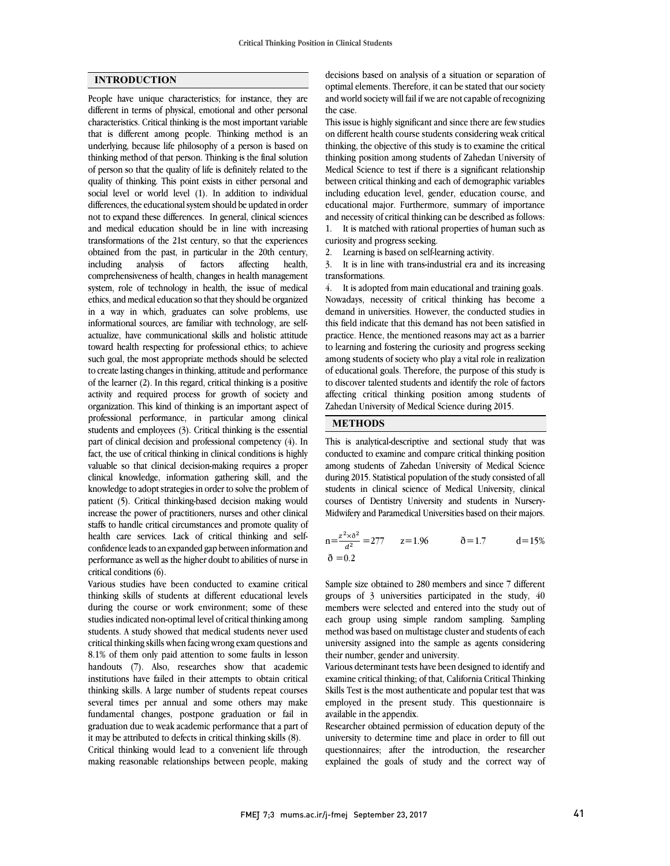# **INTRODUCTION**

People have unique characteristics; for instance, they are different in terms of physical, emotional and other personal characteristics. Critical thinking is the most important variable that is different among people. Thinking method is an underlying, because life philosophy of a person is based on thinking method of that person. Thinking is the final solution of person so that the quality of life is definitely related to the quality of thinking. This point exists in either personal and social level or world level (1). In addition to individual differences, the educational system should be updated in order not to expand these differences. In general, clinical sciences and medical education should be in line with increasing transformations of the 21st century, so that the experiences obtained from the past, in particular in the 20th century, including analysis of factors affecting health, comprehensiveness of health, changes in health management system, role of technology in health, the issue of medical ethics, and medical education so that they should be organized in a way in which, graduates can solve problems, use informational sources, are familiar with technology, are selfactualize, have communicational skills and holistic attitude toward health respecting for professional ethics; to achieve such goal, the most appropriate methods should be selected to create lasting changes in thinking, attitude and performance of the learner (2). In this regard, critical thinking is a positive activity and required process for growth of society and organization. This kind of thinking is an important aspect of professional performance, in particular among clinical students and employees (3). Critical thinking is the essential part of clinical decision and professional competency (4). In fact, the use of critical thinking in clinical conditions is highly valuable so that clinical decision-making requires a proper clinical knowledge, information gathering skill, and the knowledge to adopt strategies in order to solve the problem of patient (5). Critical thinking-based decision making would increase the power of practitioners, nurses and other clinical staffs to handle critical circumstances and promote quality of health care services. Lack of critical thinking and selfconfidence leads to an expanded gap between information and performance as well as the higher doubt to abilities of nurse in critical conditions (6).

Various studies have been conducted to examine critical thinking skills of students at different educational levels during the course or work environment; some of these studies indicated non-optimal level of critical thinking among students. A study showed that medical students never used critical thinking skills when facing wrong exam questions and 8.1% of them only paid attention to some faults in lesson handouts (7). Also, researches show that academic institutions have failed in their attempts to obtain critical thinking skills. A large number of students repeat courses several times per annual and some others may make fundamental changes, postpone graduation or fail in graduation due to weak academic performance that a part of it may be attributed to defects in critical thinking skills (8). Critical thinking would lead to a convenient life through making reasonable relationships between people, making

 optimal elements. Therefore, it can be stated that our society and world society will fail if we are not capable of recognizing the case. decisions based on analysis of a situation or separation of

 This issue is highly significant and since there are few studies thinking, the objective of this study is to examine the critical thinking position among students of Zahedan University of Medical Science to test if there is a significant relationship between critical thinking and each of demographic variables educational major. Furthermore, summary of importance and necessity of critical thinking can be described as follows: 1. It is matched with rational properties of human such as on different health course students considering weak critical including education level, gender, education course, and

curiosity and progress seeking.

2. Learning is based on self-learning activity.

 transformations. 3. It is in line with trans-industrial era and its increasing

 4. It is adopted from main educational and training goals. Nowadays, necessity of critical thinking has become a this field indicate that this demand has not been satisfied in practice. Hence, the mentioned reasons may act as a barrier to learning and fostering the curiosity and progress seeking among students of society who play a vital role in realization of educational goals. Therefore, the purpose of this study is affecting critical thinking position among students of Zahedan University of Medical Science during 2015. demand in universities. However, the conducted studies in to discover talented students and identify the role of factors

# **METHODS**

 This is analytical-descriptive and sectional study that was conducted to examine and compare critical thinking position among students of Zahedan University of Medical Science during 2015. Statistical population of the study consisted of all courses of Dentistry University and students in Nursery- Midwifery and Paramedical Universities based on their majors. students in clinical science of Medical University, clinical

$$
n = \frac{z^2 \times \delta^2}{a^2} = 277 \qquad z = 1.96 \qquad \delta = 1.7 \qquad d = 15\%
$$
  

$$
\delta = 0.2 \qquad \delta = 1.7 \qquad d = 15\%
$$

 Sample size obtained to 280 members and since 7 different groups of 3 universities participated in the study, 40 each group using simple random sampling. Sampling method was based on multistage cluster and students of each university assigned into the sample as agents considering their number, gender and university. members were selected and entered into the study out of

 examine critical thinking; of that, California Critical Thinking Skills Test is the most authenticate and popular test that was employed in the present study. This questionnaire is available in the appendix. Various determinant tests have been designed to identify and

 university to determine time and place in order to fill out questionnaires; after the introduction, the researcher explained the goals of study and the correct way of Researcher obtained permission of education deputy of the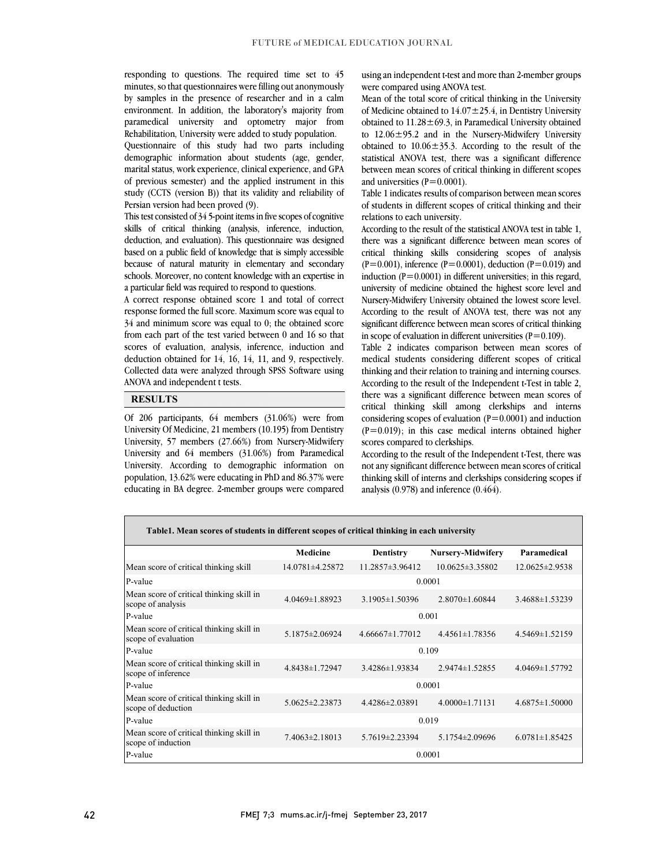responding to questions. The required time set to  $\frac{4}{3}$  minutes, so that questionnaires were filling out anonymously by samples in the presence of researcher and in a calm environment. In addition, the laboratory's majority from paramedical university and optometry major from responding to questions. The required time set to 45 Rehabilitation, University were added to study population.

 Questionnaire of this study had two parts including demographic information about students (age, gender, marital status, work experience, clinical experience, and GPA of previous semester) and the applied instrument in this study (CCTS (version B)) that its validity and reliability of Persian version had been proved (9).

 This test consisted of 34 5-point items in five scopes of cognitive skills of critical thinking (analysis, inference, induction, deduction, and evaluation). This questionnaire was designed because of natural maturity in elementary and secondary schools. Moreover, no content knowledge with an expertise in a particular field was required to respond to questions. based on a public field of knowledge that is simply accessible

 A correct response obtained score 1 and total of correct 34 and minimum score was equal to 0; the obtained score from each part of the test varied between 0 and 16 so that scores of evaluation, analysis, inference, induction and deduction obtained for 14, 16, 14, 11, and 9, respectively. Collected data were analyzed through SPSS Software using<br>ANOVA and independent tasts  $\overline{a}$ response formed the full score. Maximum score was equal to ANOVA and independent t tests.

#### **RESULTS**

 Of 206 participants, 64 members (31.06%) were from University, 57 members (27.66%) from Nursery-Midwifery University and 64 members (31.06%) from Paramedical University. According to demographic information on population, 13.62% were educating in PhD and 86.37% were educating in BA degree. 2-member groups were compared University Of Medicine, 21 members (10.195) from Dentistry

 $\overline{a}$ 

using an independent t-test and more than 2-member groups were compared using ANOVA test.

 Mean of the total score of critical thinking in the University of Medicine obtained to  $14.07 \pm 25.4$ , in Dentistry University obtained to  $11.28 \pm 69.3$ , in Paramedical University obtained to  $12.06 \pm 95.2$  and in the Nursery-Midwifery University statistical ANOVA test, there was a significant difference between mean scores of critical thinking in different scopes obtained to  $10.06 \pm 35.3$ . According to the result of the and universities  $(P=0.0001)$ .

 $\overline{a}$ of students in different scopes of critical thinking and their<br>relations to each university Table 1 indicates results of comparison between mean scores relations to each university.

 According to the result of the statistical ANOVA test in table 1, there was a significant difference between mean scores of critical thinking skills considering scopes of analysis induction  $\hat{p}=0.0001$ ) in different universities; in this regard, university of medicine obtained the highest score level and Nursery-Midwifery University obtained the lowest score level. significant difference between mean scores of critical thinking in scope of evaluation in different universities ( $P=0.109$ ).  $(P=0.001)$ , inference  $(P=0.0001)$ , deduction  $(P=0.019)$  and According to the result of ANOVA test, there was not any

 Table 2 indicates comparison between mean scores of medical students considering different scopes of critical thinking and their relation to training and interning courses. there was a significant difference between mean scores of critical thinking skill among clerkships and interns considering scopes of evaluation  $(P=0.0001)$  and induction  $(P=0.019)$ ; in this case medical interns obtained higher According to the result of the Independent t-Test in table 2, scores compared to clerkships.

 According to the result of the Independent t-Test, there was not any significant difference between mean scores of critical thinking skill of interns and clerkships considering scopes if analysis (0.978) and inference (0.464).

| Table1. Mean scores of students in different scopes of critical thinking in each university |                       |                       |                          |                      |  |  |
|---------------------------------------------------------------------------------------------|-----------------------|-----------------------|--------------------------|----------------------|--|--|
|                                                                                             | <b>Medicine</b>       | <b>Dentistry</b>      | <b>Nursery-Midwifery</b> | Paramedical          |  |  |
| Mean score of critical thinking skill                                                       | $14.0781 \pm 4.25872$ | $11.2857\pm3.96412$   | $10.0625 \pm 3.35802$    | $12.0625 \pm 2.9538$ |  |  |
| P-value                                                                                     | 0.0001                |                       |                          |                      |  |  |
| Mean score of critical thinking skill in<br>scope of analysis                               | 4.0469±1.88923        | $3.1905 \pm 1.50396$  | $2.8070 \pm 1.60844$     | 3.4688±1.53239       |  |  |
| P-value                                                                                     | 0.001                 |                       |                          |                      |  |  |
| Mean score of critical thinking skill in<br>scope of evaluation                             | 5.1875 ± 2.06924      | $4.66667 \pm 1.77012$ | $4.4561 \pm 1.78356$     | $4.5469 \pm 1.52159$ |  |  |
| P-value                                                                                     | 0.109                 |                       |                          |                      |  |  |
| Mean score of critical thinking skill in<br>scope of inference                              | 4.8438±1.72947        | 3.4286±1.93834        | $2.9474 \pm 1.52855$     | 4.0469±1.57792       |  |  |
| P-value                                                                                     | 0.0001                |                       |                          |                      |  |  |
| Mean score of critical thinking skill in<br>scope of deduction                              | 5.0625±2.23873        | $4.4286 \pm 2.03891$  | $4.0000 \pm 1.71131$     | $4.6875 \pm 1.50000$ |  |  |
| P-value                                                                                     | 0.019                 |                       |                          |                      |  |  |
| Mean score of critical thinking skill in<br>scope of induction                              | $7.4063 \pm 2.18013$  | 5.7619±2.23394        | 5.1754±2.09696           | $6.0781 \pm 1.85425$ |  |  |
| P-value                                                                                     | 0.0001                |                       |                          |                      |  |  |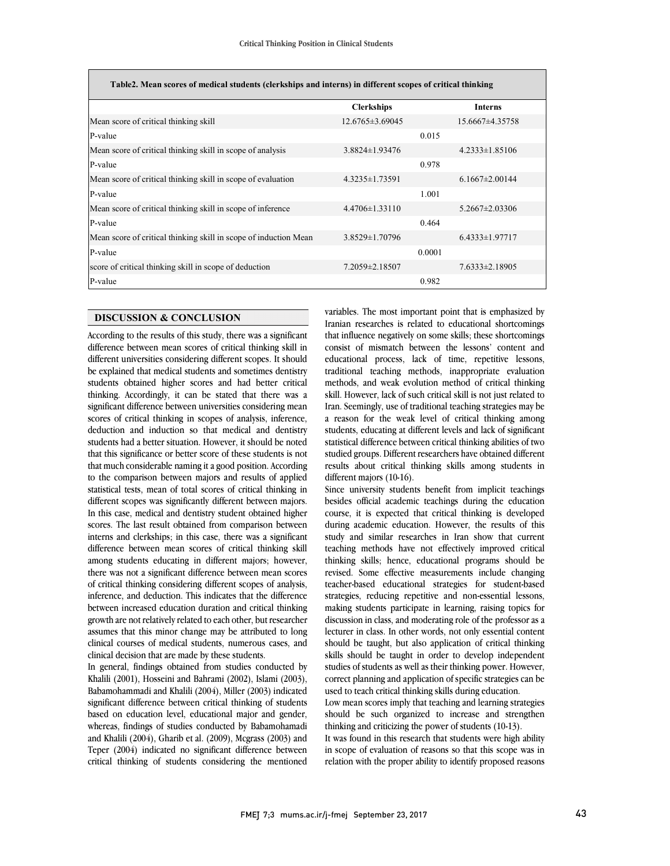$\overline{\phantom{a}}$ 

| Table2. Mean scores of medical students (clerkships and interns) in different scopes of critical thinking |                       |        |                      |  |  |
|-----------------------------------------------------------------------------------------------------------|-----------------------|--------|----------------------|--|--|
|                                                                                                           | <b>Clerkships</b>     |        | <b>Interns</b>       |  |  |
| Mean score of critical thinking skill                                                                     | $12.6765 \pm 3.69045$ |        | 15.6667±4.35758      |  |  |
| P-value                                                                                                   |                       | 0.015  |                      |  |  |
| Mean score of critical thinking skill in scope of analysis                                                | $3.8824 \pm 1.93476$  |        | $4.2333 \pm 1.85106$ |  |  |
| P-value                                                                                                   |                       | 0.978  |                      |  |  |
| Mean score of critical thinking skill in scope of evaluation                                              | $4.3235 \pm 1.73591$  |        | $6.1667 \pm 2.00144$ |  |  |
| P-value                                                                                                   |                       | 1.001  |                      |  |  |
| Mean score of critical thinking skill in scope of inference                                               | $4.4706 \pm 1.33110$  |        | $5.2667 \pm 2.03306$ |  |  |
| P-value                                                                                                   |                       | 0.464  |                      |  |  |
| Mean score of critical thinking skill in scope of induction Mean                                          | $3.8529 \pm 1.70796$  |        | $6.4333\pm1.97717$   |  |  |
| P-value                                                                                                   |                       | 0.0001 |                      |  |  |
| score of critical thinking skill in scope of deduction                                                    | 7.2059±2.18507        |        | $7.6333\pm2.18905$   |  |  |
| P-value                                                                                                   |                       | 0.982  |                      |  |  |

# **DISCUSSION & CONCLUSION**

According to the results of this study, there was a significant difference between mean scores of critical thinking skill in different universities considering different scopes. It should be explained that medical students and sometimes dentistry students obtained higher scores and had better critical thinking. Accordingly, it can be stated that there was a significant difference between universities considering mean scores of critical thinking in scopes of analysis, inference, deduction and induction so that medical and dentistry students had a better situation. However, it should be noted that this significance or better score of these students is not that much considerable naming it a good position. According to the comparison between majors and results of applied statistical tests, mean of total scores of critical thinking in different scopes was significantly different between majors. In this case, medical and dentistry student obtained higher scores. The last result obtained from comparison between interns and clerkships; in this case, there was a significant difference between mean scores of critical thinking skill among students educating in different majors; however, there was not a significant difference between mean scores of critical thinking considering different scopes of analysis, inference, and deduction. This indicates that the difference between increased education duration and critical thinking growth are not relatively related to each other, but researcher assumes that this minor change may be attributed to long clinical courses of medical students, numerous cases, and clinical decision that are made by these students.

In general, findings obtained from studies conducted by Khalili (2001), Hosseini and Bahrami (2002), Islami (2003), Babamohammadi and Khalili (2004), Miller (2003) indicated significant difference between critical thinking of students based on education level, educational major and gender, whereas, findings of studies conducted by Babamohamadi and Khalili (2004), Gharib et al. (2009), Mcgrass (2003) and Teper (2004) indicated no significant difference between critical thinking of students considering the mentioned

 Iranian researches is related to educational shortcomings that influence negatively on some skills; these shortcomings consist of mismatch between the lessons' content and educational process, lack of time, repetitive lessons, traditional teaching methods, inappropriate evaluation skill. However, lack of such critical skill is not just related to Iran. Seemingly, use of traditional teaching strategies may be a reason for the weak level of critical thinking among statistical difference between critical thinking abilities of two studied groups. Different researchers have obtained different results about critical thinking skills among students in different majors (10-16). variables. The most important point that is emphasized by methods, and weak evolution method of critical thinking students, educating at different levels and lack of significant

 besides official academic teachings during the education course, it is expected that critical thinking is developed during academic education. However, the results of this study and similar researches in Iran show that current thinking skills; hence, educational programs should be revised. Some effective measurements include changing teacher-based educational strategies for student-based strategies, reducing repetitive and non-essential lessons, discussion in class, and moderating role of the professor as a lecturer in class. In other words, not only essential content should be taught, but also application of critical thinking skills should be taught in order to develop independent correct planning and application of specific strategies can be used to teach critical thinking skills during education. Since university students benefit from implicit teachings teaching methods have not effectively improved critical making students participate in learning, raising topics for studies of students as well as their thinking power. However,

 Low mean scores imply that teaching and learning strategies should be such organized to increase and strengthen thinking and criticizing the power of students (10-13).

It was found in this research that students were high ability in scope of evaluation of reasons so that this scope was in relation with the proper ability to identify proposed reasons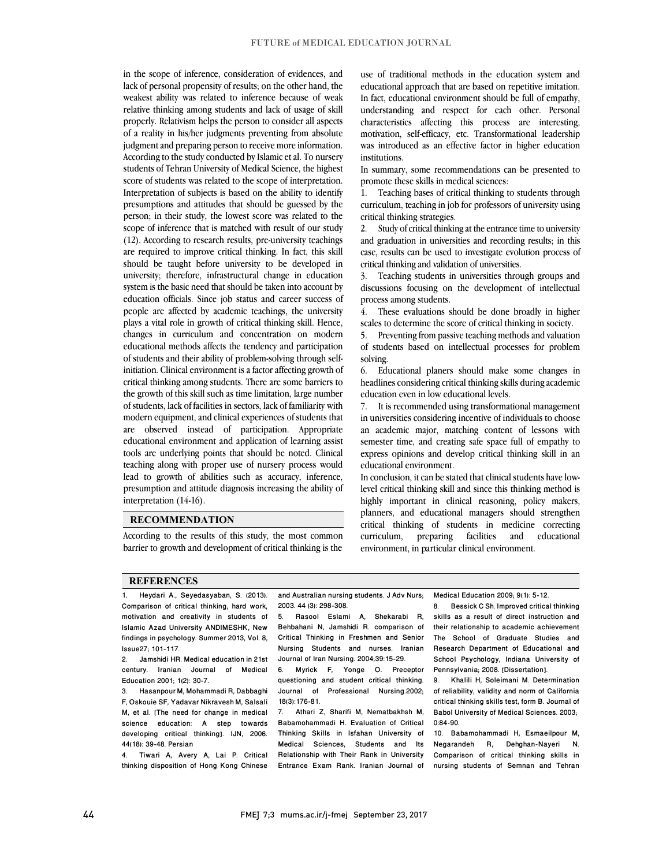in the scope of inference, consideration of evidences, and lack of personal propensity of results; on the other hand, the weakest ability was related to inference because of weak relative thinking among students and lack of usage of skill properly. Relativism helps the person to consider all aspects of a reality in his/her judgments preventing from absolute judgment and preparing person to receive more information. According to the study conducted by Islamic et al. To nursery students of Tehran University of Medical Science, the highest score of students was related to the scope of interpretation. Interpretation of subjects is based on the ability to identify presumptions and attitudes that should be guessed by the person; in their study, the lowest score was related to the scope of inference that is matched with result of our study (12). According to research results, pre-university teachings are required to improve critical thinking. In fact, this skill should be taught before university to be developed in university; therefore, infrastructural change in education system is the basic need that should be taken into account by education officials. Since job status and career success of people are affected by academic teachings, the university plays a vital role in growth of critical thinking skill. Hence, changes in curriculum and concentration on modern educational methods affects the tendency and participation of students and their ability of problem-solving through selfinitiation. Clinical environment is a factor affecting growth of critical thinking among students. There are some barriers to the growth of this skill such as time limitation, large number of students, lack of facilities in sectors, lack of familiarity with modern equipment, and clinical experiences of students that are observed instead of participation. Appropriate educational environment and application of learning assist tools are underlying points that should be noted. Clinical teaching along with proper use of nursery process would lead to growth of abilities such as accuracy, inference, presumption and attitude diagnosis increasing the ability of interpretation (14-16).

#### **RECOMMENDATION**

According to the results of this study, the most common barrier to growth and development of critical thinking is the

use of traditional methods in the education system and educational approach that are based on repetitive imitation. In fact, educational environment should be full of empathy, understanding and respect for each other. Personal characteristics affecting this process are interesting, motivation, self-efficacy, etc. Transformational leadership was introduced as an effective factor in higher education institutions.

In summary, some recommendations can be presented to promote these skills in medical sciences:

1. Teaching bases of critical thinking to students through curriculum, teaching in job for professors of university using critical thinking strategies.

2. Study of critical thinking at the entrance time to university and graduation in universities and recording results; in this case, results can be used to investigate evolution process of critical thinking and validation of universities.

3. Teaching students in universities through groups and discussions focusing on the development of intellectual process among students.

4. These evaluations should be done broadly in higher scales to determine the score of critical thinking in society.

5. Preventing from passive teaching methods and valuation of students based on intellectual processes for problem solving.

6. Educational planers should make some changes in headlines considering critical thinking skills during academic education even in low educational levels.

7. It is recommended using transformational management in universities considering incentive of individuals to choose an academic major, matching content of lessons with semester time, and creating safe space full of empathy to express opinions and develop critical thinking skill in an educational environment.

In conclusion, it can be stated that clinical students have lowlevel critical thinking skill and since this thinking method is highly important in clinical reasoning, policy makers, planners, and educational managers should strengthen critical thinking of students in medicine correcting curriculum, preparing facilities and educational environment, in particular clinical environment.

#### **REFERENCES**

1. Heydari A., Seyedasyaban, S. (2013). Comparison of critical thinking, hard work, motivation and creativity in students of Islamic Azad University ANDIMESHK, New findings in psychology. Summer 2013, Vol. 8, Issue27; 101-117.

2. Jamshidi HR. Medical education in 21st century. Iranian Journal of Medical Education 2001; 1(2): 30-7.

3. Hasanpour M, Mohammadi R, Dabbaghi F, Oskouie SF, Yadavar Nikravesh M, Salsali M, et al. [The need for change in medical science education: A step towards developing critical thinking]. IJN, 2006. 44(18): 39-48. Persian

4. Tiwari A, Avery A, Lai P. Critical thinking disposition of Hong Kong Chinese

and Australian nursing students. J Adv Nurs; 2003. 44 (3): 298-308.

5. Rasool Eslami A, Shekarabi R, Behbahani N, Jamshidi R. comparison of Critical Thinking in Freshmen and Senior Nursing Students and nurses. Iranian Journal of Iran Nursing. 2004;39:15-29.

6. Myrick F, Yonge O. Preceptor questioning and student critical thinking. Journal of Professional Nursing.2002; 18(3):176-81.

Athari Z, Sharifi M, Nematbakhsh M, Babamohammadi H. Evaluation of Critical Thinking Skills in Isfahan University of Medical Sciences, Students and Its Relationship with Their Rank in University Entrance Exam Rank. Iranian Journal of Medical Education 2009; 9(1): 5-12.

8. Bessick C Sh. Improved critical thinking skills as a result of direct instruction and their relationship to academic achievement The School of Graduate Studies and Research Department of Educational and School Psychology, Indiana University of Pennsylvania; 2008. [Dissertation].

9. Khalili H, Soleimani M. Determination of reliability, validity and norm of California critical thinking skills test, form B. Journal of Babol University of Medical Sciences. 2003; 0:84-90.

10. Babamohammadi H, Esmaeilpour M, Negarandeh R, Dehghan-Nayeri Comparison of critical thinking skills in nursing students of Semnan and Tehran